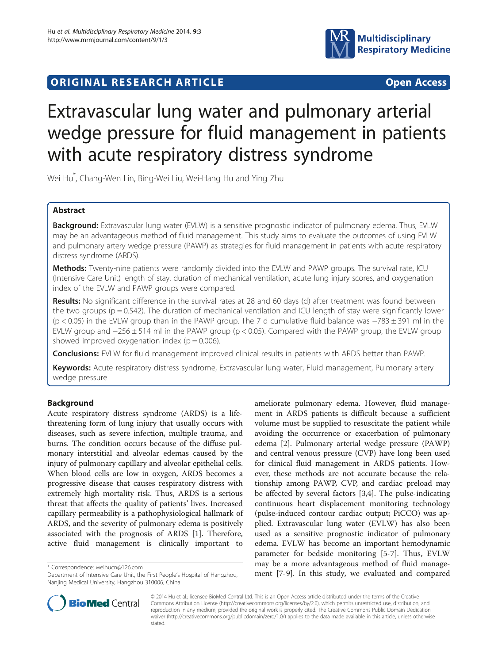



# Extravascular lung water and pulmonary arterial wedge pressure for fluid management in patients with acute respiratory distress syndrome

Wei Hu\* , Chang-Wen Lin, Bing-Wei Liu, Wei-Hang Hu and Ying Zhu

# Abstract

Background: Extravascular lung water (EVLW) is a sensitive prognostic indicator of pulmonary edema. Thus, EVLW may be an advantageous method of fluid management. This study aims to evaluate the outcomes of using EVLW and pulmonary artery wedge pressure (PAWP) as strategies for fluid management in patients with acute respiratory distress syndrome (ARDS).

Methods: Twenty-nine patients were randomly divided into the EVLW and PAWP groups. The survival rate, ICU (Intensive Care Unit) length of stay, duration of mechanical ventilation, acute lung injury scores, and oxygenation index of the EVLW and PAWP groups were compared.

Results: No significant difference in the survival rates at 28 and 60 days (d) after treatment was found between the two groups ( $p = 0.542$ ). The duration of mechanical ventilation and ICU length of stay were significantly lower (p < 0.05) in the EVLW group than in the PAWP group. The 7 d cumulative fluid balance was −783 ± 391 ml in the EVLW group and −256 ± 514 ml in the PAWP group (p < 0.05). Compared with the PAWP group, the EVLW group showed improved oxygenation index ( $p = 0.006$ ).

**Conclusions:** EVLW for fluid management improved clinical results in patients with ARDS better than PAWP.

Keywords: Acute respiratory distress syndrome, Extravascular lung water, Fluid management, Pulmonary artery wedge pressure

# Background

Acute respiratory distress syndrome (ARDS) is a lifethreatening form of lung injury that usually occurs with diseases, such as severe infection, multiple trauma, and burns. The condition occurs because of the diffuse pulmonary interstitial and alveolar edemas caused by the injury of pulmonary capillary and alveolar epithelial cells. When blood cells are low in oxygen, ARDS becomes a progressive disease that causes respiratory distress with extremely high mortality risk. Thus, ARDS is a serious threat that affects the quality of patients' lives. Increased capillary permeability is a pathophysiological hallmark of ARDS, and the severity of pulmonary edema is positively associated with the prognosis of ARDS [\[1](#page-3-0)]. Therefore, active fluid management is clinically important to

ameliorate pulmonary edema. However, fluid management in ARDS patients is difficult because a sufficient volume must be supplied to resuscitate the patient while avoiding the occurrence or exacerbation of pulmonary edema [[2\]](#page-3-0). Pulmonary arterial wedge pressure (PAWP) and central venous pressure (CVP) have long been used for clinical fluid management in ARDS patients. However, these methods are not accurate because the relationship among PAWP, CVP, and cardiac preload may be affected by several factors [\[3](#page-3-0),[4](#page-3-0)]. The pulse-indicating continuous heart displacement monitoring technology (pulse-induced contour cardiac output; PiCCO) was applied. Extravascular lung water (EVLW) has also been used as a sensitive prognostic indicator of pulmonary edema. EVLW has become an important hemodynamic parameter for bedside monitoring [[5](#page-3-0)-[7\]](#page-3-0). Thus, EVLW may be a more advantageous method of fluid manage\* Correspondence: [weihucn@126.com](mailto:weihucn@126.com)<br>Department of Intensive Care Unit, the First People's Hospital of Hangzhou, **ment** [[7-9](#page-3-0)]. In this study, we evaluated and compared



© 2014 Hu et al.; licensee BioMed Central Ltd. This is an Open Access article distributed under the terms of the Creative Commons Attribution License [\(http://creativecommons.org/licenses/by/2.0\)](http://creativecommons.org/licenses/by/2.0), which permits unrestricted use, distribution, and reproduction in any medium, provided the original work is properly cited. The Creative Commons Public Domain Dedication waiver [\(http://creativecommons.org/publicdomain/zero/1.0/\)](http://creativecommons.org/publicdomain/zero/1.0/) applies to the data made available in this article, unless otherwise stated.

Department of Intensive Care Unit, the First People's Hospital of Hangzhou, Nanjing Medical University, Hangzhou 310006, China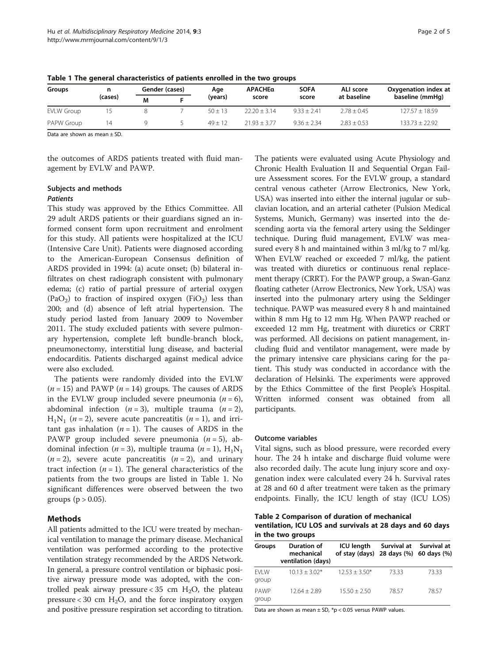| <b>Groups</b>     | n<br>(cases) | Gender (cases) | Age       | <b>APACHEa</b><br>score | <b>SOFA</b><br>score | ALI score<br>at baseline | Oxygenation index at<br>baseline (mmHq) |  |
|-------------------|--------------|----------------|-----------|-------------------------|----------------------|--------------------------|-----------------------------------------|--|
|                   |              | M              | (years)   |                         |                      |                          |                                         |  |
| <b>EVLW Group</b> |              |                | $50 + 13$ | $22.20 + 3.14$          | $9.33 + 2.41$        | $2.78 + 0.45$            | $127.57 \pm 18.59$                      |  |
| PAPW Group        | 14           |                | $49 + 12$ | $21.93 + 3.77$          | $9.36 + 2.34$        | $2.83 + 0.53$            | $133.73 + 22.92$                        |  |

<span id="page-1-0"></span>Table 1 The general characteristics of patients enrolled in the two groups

Data are shown as mean ± SD.

the outcomes of ARDS patients treated with fluid management by EVLW and PAWP.

## Subjects and methods

#### **Patients**

This study was approved by the Ethics Committee. All 29 adult ARDS patients or their guardians signed an informed consent form upon recruitment and enrolment for this study. All patients were hospitalized at the ICU (Intensive Care Unit). Patients were diagnosed according to the American-European Consensus definition of ARDS provided in 1994: (a) acute onset; (b) bilateral infiltrates on chest radiograph consistent with pulmonary edema; (c) ratio of partial pressure of arterial oxygen  $(PaO<sub>2</sub>)$  to fraction of inspired oxygen  $(FiO<sub>2</sub>)$  less than 200; and (d) absence of left atrial hypertension. The study period lasted from January 2009 to November 2011. The study excluded patients with severe pulmonary hypertension, complete left bundle-branch block, pneumonectomy, interstitial lung disease, and bacterial endocarditis. Patients discharged against medical advice were also excluded.

The patients were randomly divided into the EVLW  $(n = 15)$  and PAWP  $(n = 14)$  groups. The causes of ARDS in the EVLW group included severe pneumonia  $(n = 6)$ , abdominal infection  $(n = 3)$ , multiple trauma  $(n = 2)$ ,  $H_1N_1$  (*n* = 2), severe acute pancreatitis (*n* = 1), and irritant gas inhalation  $(n = 1)$ . The causes of ARDS in the PAWP group included severe pneumonia  $(n = 5)$ , abdominal infection (*n* = 3), multiple trauma (*n* = 1),  $H_1N_1$  $(n = 2)$ , severe acute pancreatitis  $(n = 2)$ , and urinary tract infection  $(n = 1)$ . The general characteristics of the patients from the two groups are listed in Table 1. No significant differences were observed between the two groups ( $p > 0.05$ ).

# Methods

All patients admitted to the ICU were treated by mechanical ventilation to manage the primary disease. Mechanical ventilation was performed according to the protective ventilation strategy recommended by the ARDS Network. In general, a pressure control ventilation or biphasic positive airway pressure mode was adopted, with the controlled peak airway pressure <  $35 \text{ cm } H_2O$ , the plateau pressure  $<$  30 cm H<sub>2</sub>O, and the force inspiratory oxygen and positive pressure respiration set according to titration. The patients were evaluated using Acute Physiology and Chronic Health Evaluation II and Sequential Organ Failure Assessment scores. For the EVLW group, a standard central venous catheter (Arrow Electronics, New York, USA) was inserted into either the internal jugular or subclavian location, and an arterial catheter (Pulsion Medical Systems, Munich, Germany) was inserted into the descending aorta via the femoral artery using the Seldinger technique. During fluid management, EVLW was measured every 8 h and maintained within 3 ml/kg to 7 ml/kg. When EVLW reached or exceeded 7 ml/kg, the patient was treated with diuretics or continuous renal replacement therapy (CRRT). For the PAWP group, a Swan-Ganz floating catheter (Arrow Electronics, New York, USA) was inserted into the pulmonary artery using the Seldinger technique. PAWP was measured every 8 h and maintained within 8 mm Hg to 12 mm Hg. When PAWP reached or exceeded 12 mm Hg, treatment with diuretics or CRRT was performed. All decisions on patient management, including fluid and ventilator management, were made by the primary intensive care physicians caring for the patient. This study was conducted in accordance with the declaration of Helsinki. The experiments were approved by the Ethics Committee of the first People's Hospital. Written informed consent was obtained from all participants.

#### Outcome variables

Vital signs, such as blood pressure, were recorded every hour. The 24 h intake and discharge fluid volume were also recorded daily. The acute lung injury score and oxygenation index were calculated every 24 h. Survival rates at 28 and 60 d after treatment were taken as the primary endpoints. Finally, the ICU length of stay (ICU LOS)

Table 2 Comparison of duration of mechanical ventilation, ICU LOS and survivals at 28 days and 60 days in the two groups

| Groups         | <b>Duration of</b><br>mechanical<br>ventilation (days) | ICU length<br>of stay (days) 28 days (%) 60 days (%) | Survival at Survival at |       |
|----------------|--------------------------------------------------------|------------------------------------------------------|-------------------------|-------|
| FVI W<br>group | $10.13 + 3.02*$                                        | $12.53 + 3.50*$                                      | 73.33                   | 73.33 |
| PAWP<br>group  | $12.64 + 2.89$                                         | $15.50 + 2.50$                                       | 78.57                   | 78.57 |

Data are shown as mean  $\pm$  SD,  $*p$  < 0.05 versus PAWP values.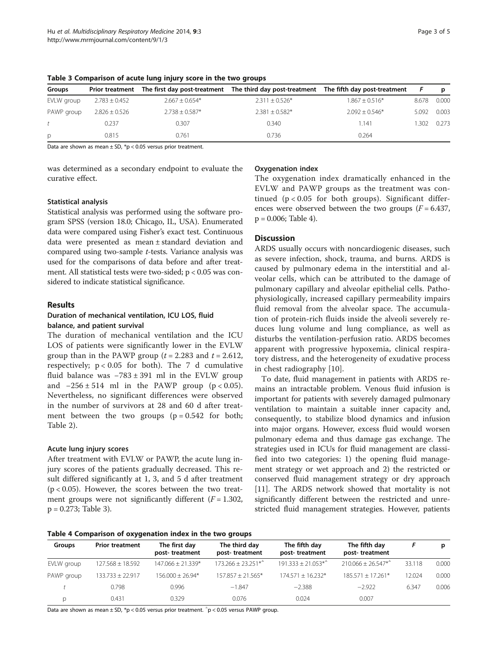| Groups     | <b>Prior treatment</b> |                    | The first day post-treatment The third day post-treatment The fifth day post-treatment |                    |       | p     |
|------------|------------------------|--------------------|----------------------------------------------------------------------------------------|--------------------|-------|-------|
| EVLW group | $2.783 \pm 0.452$      | $2.667 \pm 0.654*$ | $2.311 \pm 0.526*$                                                                     | $1.867 \pm 0.516*$ | 8.678 | 0.000 |
| PAWP group | $2.826 \pm 0.526$      | $2.738 \pm 0.587*$ | $2.381 \pm 0.582$ *                                                                    | $2.092 \pm 0.546*$ | 5.092 | 0.003 |
|            | 0.237                  | 0.307              | 0.340                                                                                  | 1.141              | .302  | 0.273 |
| D          | 0.815                  | 0.761              | 0.736                                                                                  | 0.264              |       |       |

Table 3 Comparison of acute lung injury score in the two groups

Data are shown as mean  $\pm$  SD,  $*$ p < 0.05 versus prior treatment.

was determined as a secondary endpoint to evaluate the curative effect.

#### Statistical analysis

Statistical analysis was performed using the software program SPSS (version 18.0; Chicago, IL, USA). Enumerated data were compared using Fisher's exact test. Continuous data were presented as mean ± standard deviation and compared using two-sample t-tests. Variance analysis was used for the comparisons of data before and after treatment. All statistical tests were two-sided; p < 0.05 was considered to indicate statistical significance.

## Results

# Duration of mechanical ventilation, ICU LOS, fluid balance, and patient survival

The duration of mechanical ventilation and the ICU LOS of patients were significantly lower in the EVLW group than in the PAWP group ( $t = 2.283$  and  $t = 2.612$ , respectively;  $p < 0.05$  for both). The 7 d cumulative fluid balance was  $-783 \pm 391$  ml in the EVLW group and  $-256 \pm 514$  ml in the PAWP group (p < 0.05). Nevertheless, no significant differences were observed in the number of survivors at 28 and 60 d after treatment between the two groups  $(p = 0.542$  for both; Table [2](#page-1-0)).

## Acute lung injury scores

After treatment with EVLW or PAWP, the acute lung injury scores of the patients gradually decreased. This result differed significantly at 1, 3, and 5 d after treatment  $(p < 0.05)$ . However, the scores between the two treatment groups were not significantly different  $(F = 1.302,$ p = 0.273; Table 3).

## Oxygenation index

The oxygenation index dramatically enhanced in the EVLW and PAWP groups as the treatment was continued  $(p < 0.05$  for both groups). Significant differences were observed between the two groups  $(F = 6.437,$  $p = 0.006$ ; Table 4).

# **Discussion**

ARDS usually occurs with noncardiogenic diseases, such as severe infection, shock, trauma, and burns. ARDS is caused by pulmonary edema in the interstitial and alveolar cells, which can be attributed to the damage of pulmonary capillary and alveolar epithelial cells. Pathophysiologically, increased capillary permeability impairs fluid removal from the alveolar space. The accumulation of protein-rich fluids inside the alveoli severely reduces lung volume and lung compliance, as well as disturbs the ventilation-perfusion ratio. ARDS becomes apparent with progressive hypoxemia, clinical respiratory distress, and the heterogeneity of exudative process in chest radiography [\[10](#page-3-0)].

To date, fluid management in patients with ARDS remains an intractable problem. Venous fluid infusion is important for patients with severely damaged pulmonary ventilation to maintain a suitable inner capacity and, consequently, to stabilize blood dynamics and infusion into major organs. However, excess fluid would worsen pulmonary edema and thus damage gas exchange. The strategies used in ICUs for fluid management are classified into two categories: 1) the opening fluid management strategy or wet approach and 2) the restricted or conserved fluid management strategy or dry approach [[11\]](#page-3-0). The ARDS network showed that mortality is not significantly different between the restricted and unrestricted fluid management strategies. However, patients

Table 4 Comparison of oxygenation index in the two groups

| <b>Groups</b> | <b>Prior treatment</b> | The first day<br>post-treatment | The third day<br>post-treatment | The fifth day<br>post-treatment | The fifth day<br>post-treatment |        | D     |
|---------------|------------------------|---------------------------------|---------------------------------|---------------------------------|---------------------------------|--------|-------|
| EVLW group    | $127.568 \pm 18.592$   | $147.066 + 21.339*$             | $173.266 + 23.251**$            | $191.333 + 21.053^{*2}$         | $210.066 + 26.547**$            | 33.118 | 0.000 |
| PAWP group    | $133.733 \pm 22.917$   | $156.000 + 26.94*$              | $157.857 \pm 21.565*$           | $174.571 + 16.232*$             | $185.571 + 17.261*$             | 12.024 | 0.000 |
|               | 0.798                  | 0.996                           | $-1.847$                        | $-2.388$                        | $-2.922$                        | 6.347  | 0.006 |
| D             | 0.431                  | 0.329                           | 0.076                           | 0.024                           | 0.007                           |        |       |

Data are shown as mean  $\pm$  SD,  $*$ p < 0.05 versus prior treatment.  $^{\circ}$ p < 0.05 versus PAWP group.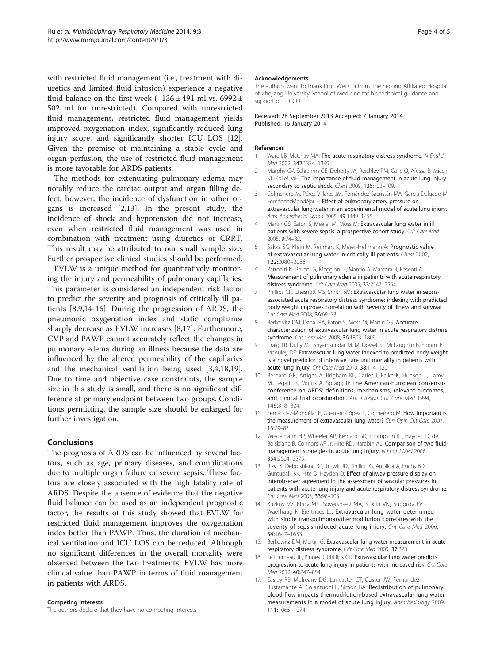<span id="page-3-0"></span>with restricted fluid management (i.e., treatment with diuretics and limited fluid infusion) experience a negative fluid balance on the first week (-136 ± 491 ml vs. 6992 ± 502 ml for unrestricted). Compared with unrestricted fluid management, restricted fluid management yields improved oxygenation index, significantly reduced lung injury score, and significantly shorter ICU LOS [12]. Given the premise of maintaining a stable cycle and organ perfusion, the use of restricted fluid management is more favorable for ARDS patients.

The methods for extenuating pulmonary edema may notably reduce the cardiac output and organ filling defect; however, the incidence of dysfunction in other organs is increased [2,13]. In the present study, the incidence of shock and hypotension did not increase, even when restricted fluid management was used in combination with treatment using diuretics or CRRT. This result may be attributed to our small sample size. Further prospective clinical studies should be performed.

EVLW is a unique method for quantitatively monitoring the injury and permeability of pulmonary capillaries. This parameter is considered an independent risk factor to predict the severity and prognosis of critically ill patients [8,9,14-16]. During the progression of ARDS, the pneumonic oxygenation index and static compliance sharply decrease as EVLW increases [8,17]. Furthermore, CVP and PAWP cannot accurately reflect the changes in pulmonary edema during an illness because the data are influenced by the altered permeability of the capillaries and the mechanical ventilation being used [3,4[,18,19](#page-4-0)]. Due to time and objective case constraints, the sample size in this study is small, and there is no significant difference at primary endpoint between two groups. Conditions permitting, the sample size should be enlarged for further investigation.

# Conclusions

The prognosis of ARDS can be influenced by several factors, such as age, primary diseases, and complications due to multiple organ failure or severe sepsis. These factors are closely associated with the high fatality rate of ARDS. Despite the absence of evidence that the negative fluid balance can be used as an independent prognostic factor, the results of this study showed that EVLW for restricted fluid management improves the oxygenation index better than PAWP. Thus, the duration of mechanical ventilation and ICU LOS can be reduced. Although no significant differences in the overall mortality were observed between the two treatments, EVLW has more clinical value than PAWP in terms of fluid management in patients with ARDS.

#### Competing interests

The authors declare that they have no competing interests.

#### Acknowledgements

The authors want to thank Prof. Wei Cui from The Second Affiliated Hospital of Zhejiang University School of Medicine for his technical guidance and support on PiCCO.

Received: 28 September 2013 Accepted: 7 January 2014 Published: 16 January 2014

#### References

- 1. Ware LB, Matthay MA: The acute respiratory distress syndrome. N Engl J Med 2002, 342:1334–1349.
- 2. Murphy CV, Schramm GE, Doherty JA, Reichley RM, Gajic O, Afessa B, Micek ST, Kollef MH: The importance of fluid management in acute lung injury secondary to septic shock. Chest 2009, 136:102–109.
- 3. Colmenero M, Pérez Villares JM, Fernández Sacristán MA, Garcia Delgado M, FernándezMondéjar E: Effect of pulmonary artery pressure on extravascular lung water in an experimental model of acute lung injury. Acta Anaesthesiol Scand 2005, 49:1449–1455.
- 4. Martin GS, Eaton S, Mealer M, Moss M: Extravascular lung water in ill patients with severe sepsis: a prospective cohort study. Crit Care Med 2005, 9:74–82.
- 5. Sakka SG, Klein M, Reinhart K, Meier-Hellmann A: Prognostic value of extravascular lung water in critically ill patients. Chest 2002, 122:2080–2086.
- 6. Patroniti N, Bellani G, Maggioni E, Manfio A, Marcora B, Pesenti A: Measurement of pulmonary edema in patients with acute respiratory distress syndrome. Crit Care Med 2005, 33:2547–2554.
- 7. Phillips CR, Chesnutt MS, Smith SM: Extravascular lung water in sepsisassociated acute respiratory distress syndrome: indexing with predicted body weight improves correlation with severity of illness and survival. Crit Care Med 2008, 36:69–73.
- 8. Berkowitz DM, Danai PA, Eaton S, Moss M, Martin GS: Accurate characterization of extravascular lung water in acute respiratory distress syndrome. Crit Care Med 2008, 36:1803–1809.
- 9. Craig TR, Duffy MJ, Shyamsundar M, McDowell C, McLaughlin B, Elborn JS, McAuley DF: Extravascular lung water indexed to predicted body weight is a novel predictor of intensive care unit mortality in patients with acute lung injury. Crit Care Med 2010, 38:114–120.
- 10. Bernard GR, Artigas A, Brigham KL, Carlet J, Falke K, Hudson L, Lamy M, Legall JR, Morris A, Spragg R: The American-European consensus conference on ARDS: definitions, mechanisms, relevant outcomes, and clinical trial coordination. Am J Respir Crit Care Med 1994, 149:818–824.
- 11. Fernández-Mondéjar E, Guerrero-López F, Colmenero M: How important is the measurement of extravascular lung water? Curr Opin Crit Care 2007, 13:79–83.
- 12. Wiedemann HP, Wheeler AP, Bernard GR, Thompson BT, Hayden D, de Boisblanc B, Connors AF Jr, Hite RD, Harabin AL: Comparison of two fluidmanagement strategies in acute lung injury. N Engl J Med 2006, 354:2564–2575.
- 13. Rizvi K, Deboisblanc BP, Truwit JD, Dhillon G, Arroliga A, Fuchs BD, Guntupalli KK, Hite D, Hayden D: Effect of airway pressure display on interobserver agreement in the assessment of vascular pressures in patients with acute lung injury and acute respiratory distress syndrome. Crit Care Med 2005, 33:98–103.
- 14. Kuzkov VV, Kirov MY, Sovershaev MA, Kuklin VN, Suborov EV, Waerhaug K, Bjertnaes LJ: Extravascular lung water determined with single transpulmonarythermodilution correlates with the severity of sepsis-induced acute lung injury. Crit Care Med 2006, 34:1647–1653.
- 15. Berkowitz DM, Martin G: Extravascular lung water measurement in acute respiratory distress syndrome. Crit Care Med 2009, 37:378.
- 16. LeTourneau JL, Pinney J, Phillips CR: Extravascular lung water predicts progression to acute lung injury in patients with increased risk. Crit Care Med 2012, 40:847–854.
- 17. Easley RB, Mulreany DG, Lancaster CT, Custer JW, Fernandez-Bustamante A, Colantuoni E, Simon BA: Redistribution of pulmonary blood flow impacts thermodilution-based extravascular lung water measurements in a model of acute lung injury. Anesthesiology 2009, 111:1065–1074.